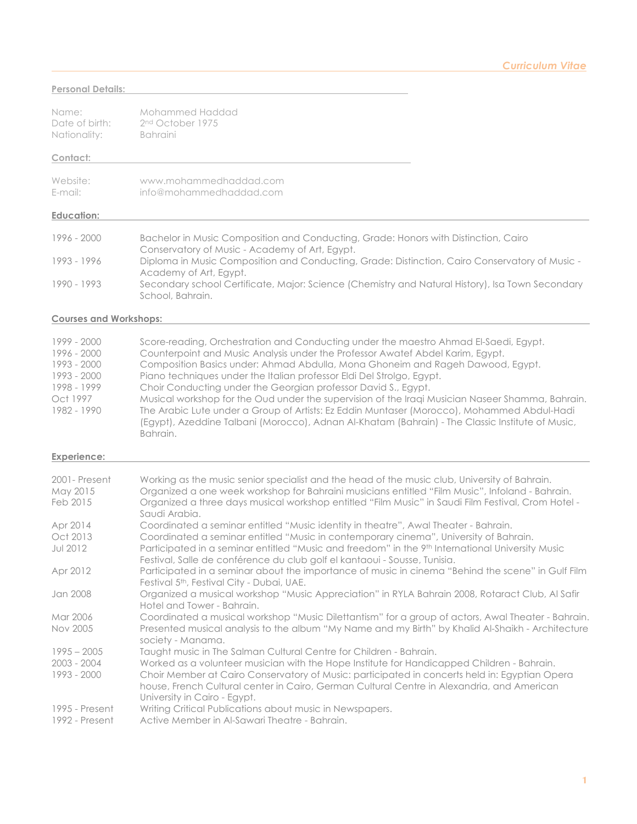### **Personal Details:**

| Name:          | Mohammed Haddad              |
|----------------|------------------------------|
| Date of birth: | 2 <sup>nd</sup> October 1975 |
| Nationality:   | <b>Bahraini</b>              |

#### **Contact:**

| Website: | www.mohammedhaddad.com  |
|----------|-------------------------|
| E-mail:  | info@mohammedhaddad.com |

#### **Education:**

| 1996 - 2000 | Bachelor in Music Composition and Conducting, Grade: Honors with Distinction, Cairo              |
|-------------|--------------------------------------------------------------------------------------------------|
|             | Conservatory of Music - Academy of Art, Egypt.                                                   |
| 1993 - 1996 | Diploma in Music Composition and Conducting, Grade: Distinction, Cairo Conservatory of Music -   |
|             | Academy of Art, Egypt.                                                                           |
| 1990 - 1993 | Secondary school Certificate, Major: Science (Chemistry and Natural History), Isa Town Secondary |
|             | School, Bahrain.                                                                                 |

### **Courses and Workshops:**

| 1999 - 2000 | Score-reading, Orchestration and Conducting under the maestro Ahmad El-Saedi, Egypt.                         |
|-------------|--------------------------------------------------------------------------------------------------------------|
| 1996 - 2000 | Counterpoint and Music Analysis under the Professor Awatef Abdel Karim, Egypt.                               |
| 1993 - 2000 | Composition Basics under: Ahmad Abdulla, Mona Ghoneim and Rageh Dawood, Egypt.                               |
| 1993 - 2000 | Piano techniques under the Italian professor Eldi Del Strolgo, Egypt.                                        |
| 1998 - 1999 | Choir Conducting under the Georgian professor David S., Egypt.                                               |
| Oct 1997    | Musical workshop for the Oud under the supervision of the Iraqi Musician Naseer Shamma, Bahrain.             |
| 1982 - 1990 | The Arabic Lute under a Group of Artists: Ez Eddin Muntaser (Morocco), Mohammed Abdul-Hadi                   |
|             | (Egypt), Azeddine Talbani (Morocco), Adnan Al-Khatam (Bahrain) - The Classic Institute of Music,<br>Bahrain. |

#### **Experience:**

| 2001 - Present<br>May 2015<br>Feb 2015 | Working as the music senior specialist and the head of the music club, University of Bahrain.<br>Organized a one week workshop for Bahraini musicians entitled "Film Music", Infoland - Bahrain.<br>- Organized a three days musical workshop entitled "Film Music" in Saudi Film Festival, Crom Hotel<br>Saudi Arabia. |
|----------------------------------------|-------------------------------------------------------------------------------------------------------------------------------------------------------------------------------------------------------------------------------------------------------------------------------------------------------------------------|
| Apr 2014                               | Coordinated a seminar entitled "Music identity in theatre", Awal Theater - Bahrain.                                                                                                                                                                                                                                     |
| Oct 2013<br><b>Jul 2012</b>            | Coordinated a seminar entitled "Music in contemporary cinema", University of Bahrain.<br>Participated in a seminar entitled "Music and freedom" in the 9th International University Music<br>Festival, Salle de conférence du club golf el kantaoui - Sousse, Tunisia.                                                  |
| Apr 2012                               | Participated in a seminar about the importance of music in cinema "Behind the scene" in Gulf Film<br>Festival 5 <sup>th</sup> , Festival City - Dubai, UAE.                                                                                                                                                             |
| Jan 2008                               | Organized a musical workshop "Music Appreciation" in RYLA Bahrain 2008, Rotaract Club, Al Safir<br>Hotel and Tower - Bahrain.                                                                                                                                                                                           |
| Mar 2006                               | Coordinated a musical workshop "Music Dilettantism" for a group of actors, Awal Theater - Bahrain.                                                                                                                                                                                                                      |
| Nov 2005                               | Presented musical analysis to the album "My Name and my Birth" by Khalid Al-Shaikh - Architecture<br>society - Manama.                                                                                                                                                                                                  |
| $1995 - 2005$                          | Taught music in The Salman Cultural Centre for Children - Bahrain.                                                                                                                                                                                                                                                      |
| $2003 - 2004$                          | Worked as a volunteer musician with the Hope Institute for Handicapped Children - Bahrain.                                                                                                                                                                                                                              |
| 1993 - 2000                            | Choir Member at Cairo Conservatory of Music: participated in concerts held in: Egyptian Opera<br>house, French Cultural center in Cairo, German Cultural Centre in Alexandria, and American<br>University in Cairo - Egypt.                                                                                             |
| 1995 - Present<br>1992 - Present       | Writing Critical Publications about music in Newspapers.<br>Active Member in Al-Sawari Theatre - Bahrain.                                                                                                                                                                                                               |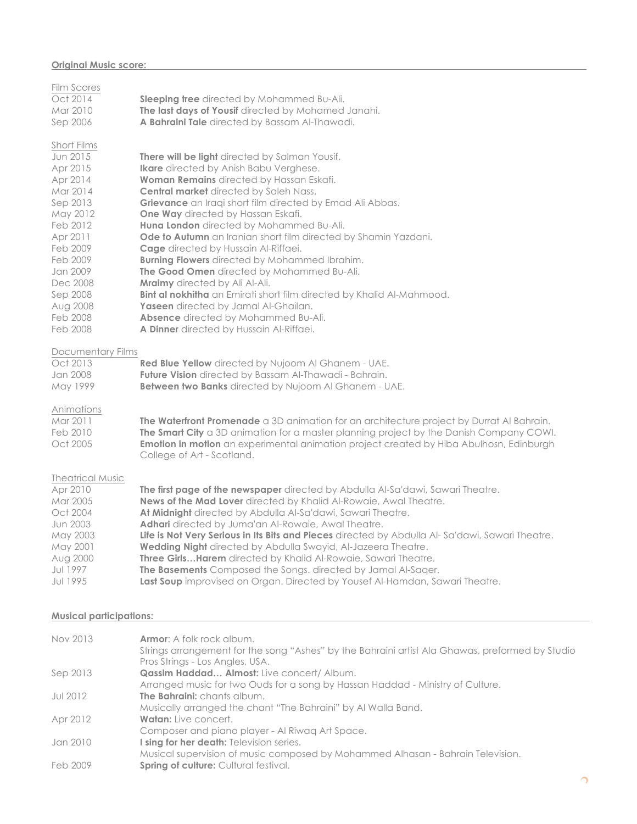### **Original Music score:**

| <b>Film Scores</b><br>Oct 2014<br>Mar 2010<br>Sep 2006                                                                                                                                                      | Sleeping tree directed by Mohammed Bu-Ali.<br>The last days of Yousif directed by Mohamed Janahi.<br>A Bahraini Tale directed by Bassam Al-Thawadi.                                                                                                                                                                                                                                                                                                                                                                                                                                                                                                                                                                                                                                                        |
|-------------------------------------------------------------------------------------------------------------------------------------------------------------------------------------------------------------|------------------------------------------------------------------------------------------------------------------------------------------------------------------------------------------------------------------------------------------------------------------------------------------------------------------------------------------------------------------------------------------------------------------------------------------------------------------------------------------------------------------------------------------------------------------------------------------------------------------------------------------------------------------------------------------------------------------------------------------------------------------------------------------------------------|
| Short Films<br>Jun 2015<br>Apr 2015<br>Apr 2014<br>Mar 2014<br>Sep 2013<br>May 2012<br>Feb 2012<br>Apr 2011<br>Feb 2009<br>Feb 2009<br>Jan 2009<br>Dec 2008<br>Sep 2008<br>Aug 2008<br>Feb 2008<br>Feb 2008 | There will be light directed by Salman Yousif.<br>Ikare directed by Anish Babu Verghese.<br><b>Woman Remains</b> directed by Hassan Eskafi.<br><b>Central market</b> directed by Saleh Nass.<br>Grievance an Iraqi short film directed by Emad Ali Abbas.<br>One Way directed by Hassan Eskafi.<br>Huna London directed by Mohammed Bu-Ali.<br>Ode to Autumn an Iranian short film directed by Shamin Yazdani.<br><b>Cage</b> directed by Hussain Al-Riffaei.<br><b>Burning Flowers</b> directed by Mohammed Ibrahim.<br>The Good Omen directed by Mohammed Bu-Ali.<br>Mraimy directed by Ali Al-Ali.<br>Bint al nokhitha an Emirati short film directed by Khalid Al-Mahmood.<br>Yaseen directed by Jamal Al-Ghailan.<br>Absence directed by Mohammed Bu-Ali.<br>A Dinner directed by Hussain Al-Riffaei. |
| <b>Documentary Films</b><br>Oct 2013<br>Jan 2008<br>May 1999                                                                                                                                                | Red Blue Yellow directed by Nujoom Al Ghanem - UAE.<br><b>Future Vision</b> directed by Bassam Al-Thawadi - Bahrain.<br>Between two Banks directed by Nujoom Al Ghanem - UAE.                                                                                                                                                                                                                                                                                                                                                                                                                                                                                                                                                                                                                              |
| Animations<br>Mar 2011<br>Feb 2010<br>Oct 2005                                                                                                                                                              | The Waterfront Promenade a 3D animation for an architecture project by Durrat Al Bahrain.<br>The Smart City a 3D animation for a master planning project by the Danish Company COWI.<br>Emotion in motion an experimental animation project created by Hiba Abulhosn, Edinburgh<br>College of Art - Scotland.                                                                                                                                                                                                                                                                                                                                                                                                                                                                                              |
| <b>Theatrical Music</b><br>Apr 2010<br>Mar 2005<br>Oct 2004<br>Jun 2003<br>May 2003<br>May 2001<br>Aug 2000<br><b>Jul 1997</b><br><b>Jul 1995</b>                                                           | The first page of the newspaper directed by Abdulla Al-Sa'dawi, Sawari Theatre.<br>News of the Mad Lover directed by Khalid Al-Rowaie, Awal Theatre.<br>At Midnight directed by Abdulla Al-Sa'dawi, Sawari Theatre.<br>Adhari directed by Juma'an Al-Rowaie, Awal Theatre.<br>Life is Not Very Serious in Its Bits and Pieces directed by Abdulla Al-Sa'dawi, Sawari Theatre.<br>Wedding Night directed by Abdulla Swayid, Al-Jazeera Theatre.<br>Three GirlsHarem directed by Khalid Al-Rowaie, Sawari Theatre.<br>The Basements Composed the Songs. directed by Jamal Al-Sager.<br>Last Soup improvised on Organ. Directed by Yousef Al-Hamdan, Sawari Theatre.                                                                                                                                          |

### **Musical participations:**

| Nov 2013 | <b>Armor:</b> A folk rock album.                                                                |
|----------|-------------------------------------------------------------------------------------------------|
|          | Strings arrangement for the song "Ashes" by the Bahraini artist Ala Ghawas, preformed by Studio |
|          | Pros Strings - Los Angles, USA.                                                                 |
| Sep 2013 | Qassim Haddad Almost: Live concert/ Album.                                                      |
|          | Arranged music for two Ouds for a song by Hassan Haddad - Ministry of Culture.                  |
| Jul 2012 | <b>The Bahraini:</b> chants album.                                                              |
|          | Musically arranged the chant "The Bahraini" by Al Walla Band.                                   |
| Apr 2012 | <b>Watan:</b> Live concert.                                                                     |
|          | Composer and piano player - Al Riwaq Art Space.                                                 |
| Jan 2010 | <b>I sing for her death:</b> Television series.                                                 |
|          | Musical supervision of music composed by Mohammed Alhasan - Bahrain Television.                 |
| Feb 2009 | <b>Spring of culture: Cultural festival.</b>                                                    |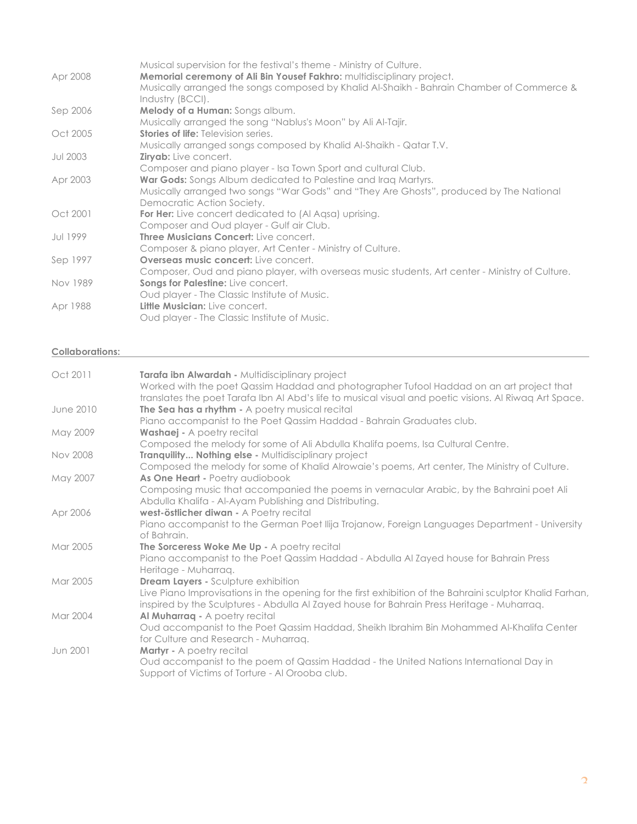|                 | Musical supervision for the festival's theme - Ministry of Culture.                             |
|-----------------|-------------------------------------------------------------------------------------------------|
| Apr 2008        | Memorial ceremony of Ali Bin Yousef Fakhro: multidisciplinary project.                          |
|                 | Musically arranged the songs composed by Khalid Al-Shaikh - Bahrain Chamber of Commerce &       |
|                 | Industry (BCCI).                                                                                |
| Sep 2006        | <b>Melody of a Human:</b> Songs album.                                                          |
|                 | Musically arranged the song "Nablus's Moon" by Ali Al-Tajir.                                    |
| Oct 2005        | <b>Stories of life:</b> Television series.                                                      |
|                 | Musically arranged songs composed by Khalid Al-Shaikh - Qatar T.V.                              |
| <b>Jul 2003</b> | <b>Ziryab:</b> Live concert.                                                                    |
|                 | Composer and piano player - Isa Town Sport and cultural Club.                                   |
| Apr 2003        | War Gods: Songs Album dedicated to Palestine and Iraq Martyrs.                                  |
|                 | Musically arranged two songs "War Gods" and "They Are Ghosts", produced by The National         |
|                 | Democratic Action Society.                                                                      |
| Oct 2001        | <b>For Her:</b> Live concert dedicated to (Al Agsa) uprising.                                   |
|                 | Composer and Oud player - Gulf air Club.                                                        |
| Jul 1999        | <b>Three Musicians Concert:</b> Live concert.                                                   |
|                 | Composer & piano player, Art Center - Ministry of Culture.                                      |
| Sep 1997        | <b>Overseas music concert:</b> Live concert.                                                    |
|                 | Composer, Oud and piano player, with overseas music students, Art center - Ministry of Culture. |
| Nov 1989        | Songs for Palestine: Live concert.                                                              |
|                 | Oud player - The Classic Institute of Music.                                                    |
| Apr 1988        | Little Musician: Live concert.                                                                  |
|                 | Oud player - The Classic Institute of Music.                                                    |

### **Collaborations:**

| Oct 2011         | Tarafa ibn Alwardah - Multidisciplinary project<br>Worked with the poet Qassim Haddad and photographer Tufool Haddad on an art project that<br>translates the poet Tarafa Ibn AI Abd's life to musical visual and poetic visions. AI Riwaq Art Space. |
|------------------|-------------------------------------------------------------------------------------------------------------------------------------------------------------------------------------------------------------------------------------------------------|
| <b>June 2010</b> | The Sea has a rhythm - A poetry musical recital<br>Piano accompanist to the Poet Qassim Haddad - Bahrain Graduates club.                                                                                                                              |
| May 2009         | <b>Washaej</b> - A poetry recital<br>Composed the melody for some of Ali Abdulla Khalifa poems, Isa Cultural Centre.                                                                                                                                  |
| <b>Nov 2008</b>  | Tranquility Nothing else - Multidisciplinary project<br>Composed the melody for some of Khalid Alrowaie's poems, Art center, The Ministry of Culture.                                                                                                 |
| May 2007         | As One Heart - Poetry audiobook<br>Composing music that accompanied the poems in vernacular Arabic, by the Bahraini poet Ali                                                                                                                          |
|                  | Abdulla Khalifa - Al-Ayam Publishing and Distributing.                                                                                                                                                                                                |
| Apr 2006         | west-östlicher diwan - A Poetry recital<br>Piano accompanist to the German Poet Ilija Trojanow, Foreign Languages Department - University<br>of Bahrain.                                                                                              |
| Mar 2005         | The Sorceress Woke Me Up - A poetry recital<br>Piano accompanist to the Poet Qassim Haddad - Abdulla Al Zayed house for Bahrain Press<br>Heritage - Muharraq.                                                                                         |
| Mar 2005         | <b>Dream Layers - Sculpture exhibition</b><br>Live Piano Improvisations in the opening for the first exhibition of the Bahraini sculptor Khalid Farhan,<br>inspired by the Sculptures - Abdulla Al Zayed house for Bahrain Press Heritage - Muharraq. |
| Mar 2004         | Al Muharraq - A poetry recital<br>Oud accompanist to the Poet Qassim Haddad, Sheikh Ibrahim Bin Mohammed Al-Khalifa Center<br>for Culture and Research - Muharraq.                                                                                    |
| Jun 2001         | <b>Martyr</b> - A poetry recital<br>Oud accompanist to the poem of Qassim Haddad - the United Nations International Day in<br>Support of Victims of Torture - Al Orooba club.                                                                         |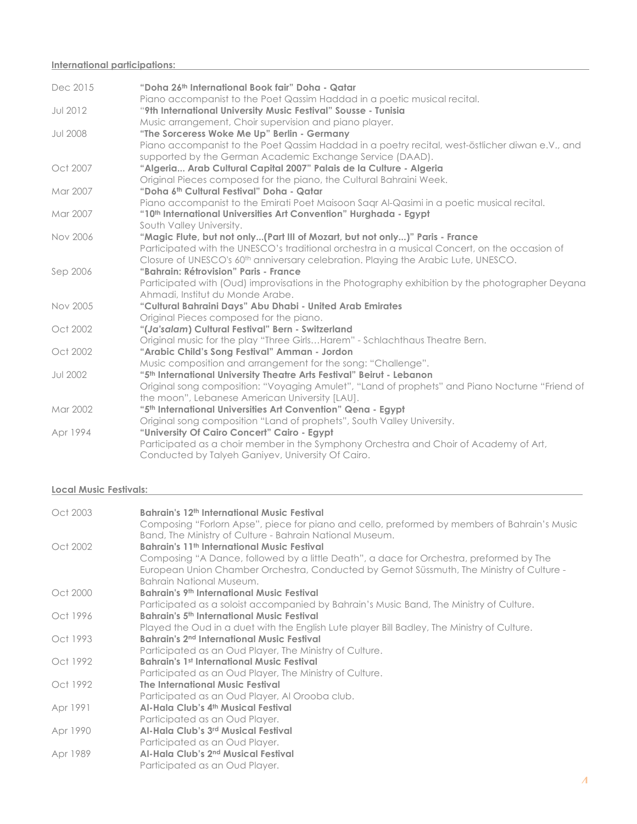### **International participations:**

| Dec 2015        | "Doha 26th International Book fair" Doha - Qatar                                                                                           |
|-----------------|--------------------------------------------------------------------------------------------------------------------------------------------|
| <b>Jul 2012</b> | Piano accompanist to the Poet Qassim Haddad in a poetic musical recital.<br>"9th International University Music Festival" Sousse - Tunisia |
|                 | Music arrangement, Choir supervision and piano player.                                                                                     |
| <b>Jul 2008</b> | "The Sorceress Woke Me Up" Berlin - Germany                                                                                                |
|                 | Piano accompanist to the Poet Qassim Haddad in a poetry recital, west-östlicher diwan e.V., and                                            |
|                 | supported by the German Academic Exchange Service (DAAD).                                                                                  |
| Oct 2007        | "Algeria Arab Cultural Capital 2007" Palais de la Culture - Algeria                                                                        |
|                 | Original Pieces composed for the piano, the Cultural Bahraini Week.                                                                        |
| Mar 2007        | "Doha 6th Cultural Festival" Doha - Qatar                                                                                                  |
|                 | Piano accompanist to the Emirati Poet Maisoon Sagr Al-Qasimi in a poetic musical recital.                                                  |
| Mar 2007        | "10th International Universities Art Convention" Hurghada - Egypt                                                                          |
|                 | South Valley University.                                                                                                                   |
| <b>Nov 2006</b> | "Magic Flute, but not only(Part III of Mozart, but not only)" Paris - France                                                               |
|                 | Participated with the UNESCO's traditional orchestra in a musical Concert, on the occasion of                                              |
|                 | Closure of UNESCO's 60 <sup>th</sup> anniversary celebration. Playing the Arabic Lute, UNESCO.                                             |
| Sep 2006        | "Bahrain: Rétrovision" Paris - France<br>Participated with (Oud) improvisations in the Photography exhibition by the photographer Deyana   |
|                 | Ahmadi, Institut du Monde Arabe.                                                                                                           |
| Nov 2005        | "Cultural Bahraini Days" Abu Dhabi - United Arab Emirates                                                                                  |
|                 | Original Pieces composed for the piano.                                                                                                    |
| Oct 2002        | "(Ja'salam) Cultural Festival" Bern - Switzerland                                                                                          |
|                 | Original music for the play "Three GirlsHarem" - Schlachthaus Theatre Bern.                                                                |
| Oct 2002        | "Arabic Child's Song Festival" Amman - Jordon                                                                                              |
|                 | Music composition and arrangement for the song: "Challenge".                                                                               |
| <b>Jul 2002</b> | "5th International University Theatre Arts Festival" Beirut - Lebanon                                                                      |
|                 | Original song composition: "Voyaging Amulet", "Land of prophets" and Piano Nocturne "Friend of                                             |
|                 | the moon", Lebanese American University [LAU].                                                                                             |
| Mar 2002        | "5th International Universities Art Convention" Qena - Egypt                                                                               |
|                 | Original song composition "Land of prophets", South Valley University.                                                                     |
| Apr 1994        | "University Of Cairo Concert" Cairo - Egypt                                                                                                |
|                 | Participated as a choir member in the Symphony Orchestra and Choir of Academy of Art,                                                      |
|                 | Conducted by Talyeh Ganiyev, University Of Cairo.                                                                                          |

## **Local Music Festivals:**

| Oct 2003 | Bahrain's 12 <sup>th</sup> International Music Festival                                                                                                  |
|----------|----------------------------------------------------------------------------------------------------------------------------------------------------------|
|          | Composing "Forlorn Apse", piece for piano and cello, preformed by members of Bahrain's Music<br>Band, The Ministry of Culture - Bahrain National Museum. |
| Oct 2002 | Bahrain's 11 <sup>th</sup> International Music Festival                                                                                                  |
|          | Composing "A Dance, followed by a little Death", a dace for Orchestra, preformed by The                                                                  |
|          | European Union Chamber Orchestra, Conducted by Gernot Süssmuth, The Ministry of Culture -                                                                |
|          | Bahrain National Museum.                                                                                                                                 |
| Oct 2000 | <b>Bahrain's 9th International Music Festival</b>                                                                                                        |
|          | Participated as a soloist accompanied by Bahrain's Music Band, The Ministry of Culture.                                                                  |
| Oct 1996 | <b>Bahrain's 5th International Music Festival</b>                                                                                                        |
|          | Played the Oud in a duet with the English Lute player Bill Badley, The Ministry of Culture.                                                              |
| Oct 1993 | Bahrain's 2 <sup>nd</sup> International Music Festival                                                                                                   |
|          | Participated as an Oud Player, The Ministry of Culture.                                                                                                  |
| Oct 1992 | <b>Bahrain's 1st International Music Festival</b>                                                                                                        |
|          | Participated as an Oud Player, The Ministry of Culture.                                                                                                  |
| Oct 1992 | The International Music Festival                                                                                                                         |
|          | Participated as an Oud Player, Al Orooba club.                                                                                                           |
| Apr 1991 | Al-Hala Club's 4th Musical Festival                                                                                                                      |
|          | Participated as an Oud Player.                                                                                                                           |
| Apr 1990 | Al-Hala Club's 3rd Musical Festival                                                                                                                      |
|          | Participated as an Oud Player.                                                                                                                           |
| Apr 1989 | Al-Hala Club's 2 <sup>nd</sup> Musical Festival                                                                                                          |
|          | Participated as an Oud Player.                                                                                                                           |